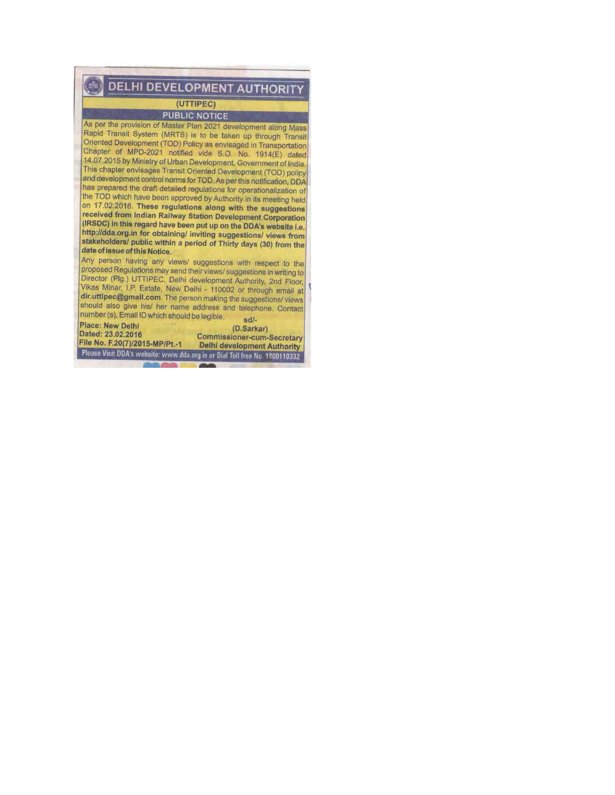DELHI DEVELOPMENT AUTHORITY

#### (UTTIPEC)

**PUBLIC NOTICE** 

As per the provision of Master Plan 2021 development along Mass Rapid Transit System (MRTS) is to be taken up through Transit Oriented Development (TOD) Policy as envisaged in Transportation Chapter of MPD-2021 notified vide S.O. No. 1914(E) dated 14.07.2015 by Ministry of Urban Development, Government of India. This chapter envisages Transit Oriented Development (TOD) policy and development control norms for TOD. As per this notification, DDA has prepared the draft detailed regulations for operationalization of the TOD which have been approved by Authority in its meeting held on 17.02.2016. These regulations along with the suggestions received from Indian Railway Station Development Corporation (IRSDC) in this regard have been put up on the DDA's website i.e. http://dda.org.in for obtaining/ inviting suggestions/ views from stakeholders/ public within a period of Thirty days (30) from the date of issue of this Notice.

Any person having any views/ suggestions with respect to the proposed Regulations may send their views/ suggestions in writing to Director (Plg.) UTTIPEC, Delhi development Authority, 2nd Floor, Vikas Minar, I.P. Estate, New Delhi - 110002 or through email at dir.uttipec@gmail.com. The person making the suggestions/views should also give his/ her name address and telephone. Contact number (s), Email ID which should be legible.  $sd/-$ 

**Place: New Delhi** Dated: 23.02.2016 File No. F.20(7)/2015-MP/Pt.-1

(D.Sarkar) **Commissioner-cum-Secretary Delhi development Authority** 

Please Visit DDA's website: www.dda.org.in or Dial Toll free No. 1800110332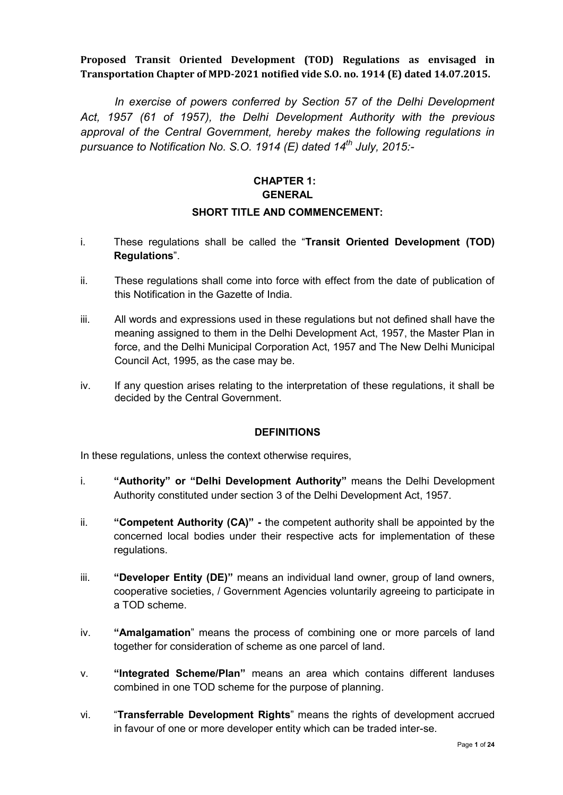# **Proposed Transit Oriented Development (TOD) Regulations as envisaged in Transportation Chapter of MPD-2021 notified vide S.O. no. 1914 (E) dated 14.07.2015.**

*In exercise of powers conferred by Section 57 of the Delhi Development Act, 1957 (61 of 1957), the Delhi Development Authority with the previous approval of the Central Government, hereby makes the following regulations in pursuance to Notification No. S.O. 1914 (E) dated 14th July, 2015:-* 

# **CHAPTER 1: GENERAL**

#### **SHORT TITLE AND COMMENCEMENT:**

- i. These regulations shall be called the "**Transit Oriented Development (TOD) Regulations**".
- ii. These regulations shall come into force with effect from the date of publication of this Notification in the Gazette of India.
- iii. All words and expressions used in these regulations but not defined shall have the meaning assigned to them in the Delhi Development Act, 1957, the Master Plan in force, and the Delhi Municipal Corporation Act, 1957 and The New Delhi Municipal Council Act, 1995, as the case may be.
- iv. If any question arises relating to the interpretation of these regulations, it shall be decided by the Central Government.

### **DEFINITIONS**

In these regulations, unless the context otherwise requires,

- i. **"Authority" or "Delhi Development Authority"** means the Delhi Development Authority constituted under section 3 of the Delhi Development Act, 1957.
- ii. **"Competent Authority (CA)"** the competent authority shall be appointed by the concerned local bodies under their respective acts for implementation of these regulations.
- iii. **"Developer Entity (DE)"** means an individual land owner, group of land owners, cooperative societies, / Government Agencies voluntarily agreeing to participate in a TOD scheme.
- iv. **"Amalgamation**" means the process of combining one or more parcels of land together for consideration of scheme as one parcel of land.
- v. **"Integrated Scheme/Plan"** means an area which contains different landuses combined in one TOD scheme for the purpose of planning.
- vi. "**Transferrable Development Rights**" means the rights of development accrued in favour of one or more developer entity which can be traded inter-se.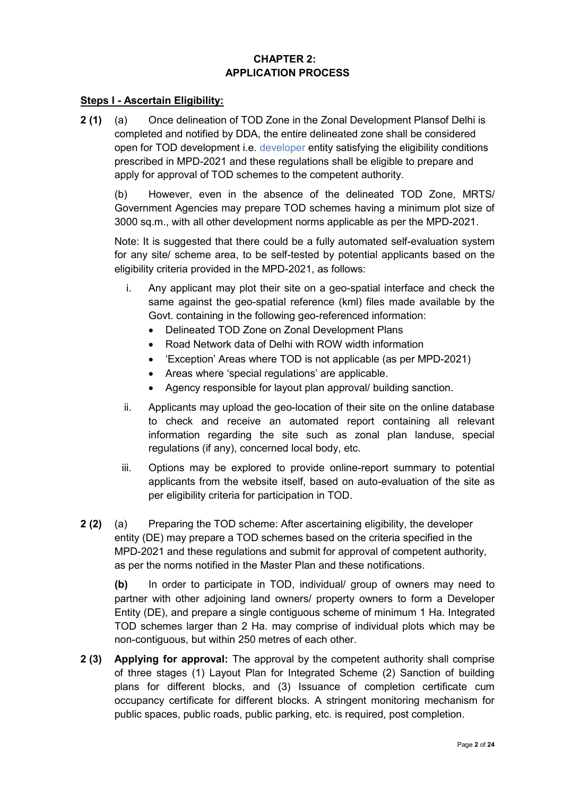# **CHAPTER 2: APPLICATION PROCESS**

### **Steps I - Ascertain Eligibility:**

**2 (1)** (a) Once delineation of TOD Zone in the Zonal Development Plansof Delhi is completed and notified by DDA, the entire delineated zone shall be considered open for TOD development i.e. developer entity satisfying the eligibility conditions prescribed in MPD-2021 and these regulations shall be eligible to prepare and apply for approval of TOD schemes to the competent authority.

(b) However, even in the absence of the delineated TOD Zone, MRTS/ Government Agencies may prepare TOD schemes having a minimum plot size of 3000 sq.m., with all other development norms applicable as per the MPD-2021.

Note: It is suggested that there could be a fully automated self-evaluation system for any site/ scheme area, to be self-tested by potential applicants based on the eligibility criteria provided in the MPD-2021, as follows:

- i. Any applicant may plot their site on a geo-spatial interface and check the same against the geo-spatial reference (kml) files made available by the Govt. containing in the following geo-referenced information:
	- Delineated TOD Zone on Zonal Development Plans
	- Road Network data of Delhi with ROW width information
	- 'Exception' Areas where TOD is not applicable (as per MPD-2021)
	- Areas where 'special regulations' are applicable.
	- Agency responsible for layout plan approval/ building sanction.
- ii. Applicants may upload the geo-location of their site on the online database to check and receive an automated report containing all relevant information regarding the site such as zonal plan landuse, special regulations (if any), concerned local body, etc.
- iii. Options may be explored to provide online-report summary to potential applicants from the website itself, based on auto-evaluation of the site as per eligibility criteria for participation in TOD.
- **2 (2)** (a) Preparing the TOD scheme: After ascertaining eligibility, the developer entity (DE) may prepare a TOD schemes based on the criteria specified in the MPD-2021 and these regulations and submit for approval of competent authority, as per the norms notified in the Master Plan and these notifications.

**(b)** In order to participate in TOD, individual/ group of owners may need to partner with other adjoining land owners/ property owners to form a Developer Entity (DE), and prepare a single contiguous scheme of minimum 1 Ha. Integrated TOD schemes larger than 2 Ha. may comprise of individual plots which may be non-contiguous, but within 250 metres of each other.

**2 (3) Applying for approval:** The approval by the competent authority shall comprise of three stages (1) Layout Plan for Integrated Scheme (2) Sanction of building plans for different blocks, and (3) Issuance of completion certificate cum occupancy certificate for different blocks. A stringent monitoring mechanism for public spaces, public roads, public parking, etc. is required, post completion.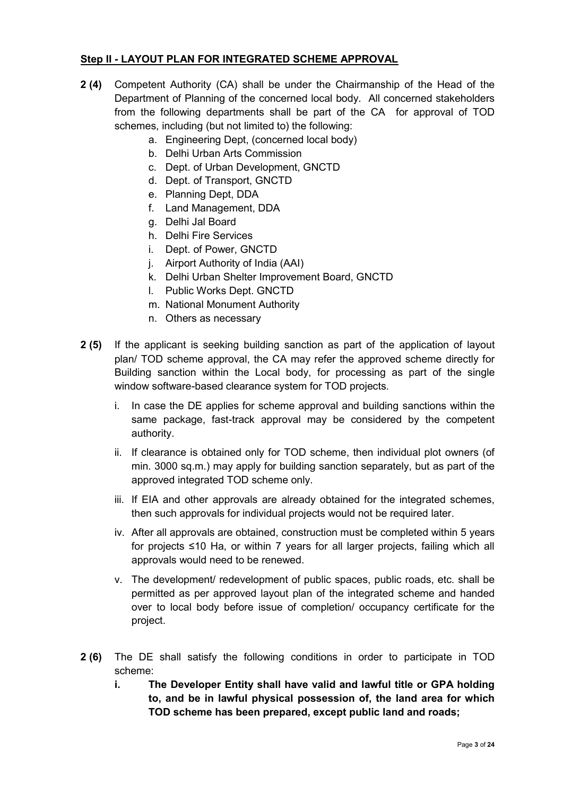# **Step II - LAYOUT PLAN FOR INTEGRATED SCHEME APPROVAL**

- **2 (4)** Competent Authority (CA) shall be under the Chairmanship of the Head of the Department of Planning of the concerned local body. All concerned stakeholders from the following departments shall be part of the CA for approval of TOD schemes, including (but not limited to) the following:
	- a. Engineering Dept, (concerned local body)
	- b. Delhi Urban Arts Commission
	- c. Dept. of Urban Development, GNCTD
	- d. Dept. of Transport, GNCTD
	- e. Planning Dept, DDA
	- f. Land Management, DDA
	- g. Delhi Jal Board
	- h. Delhi Fire Services
	- i. Dept. of Power, GNCTD
	- j. Airport Authority of India (AAI)
	- k. Delhi Urban Shelter Improvement Board, GNCTD
	- l. Public Works Dept. GNCTD
	- m. National Monument Authority
	- n. Others as necessary
- **2 (5)** If the applicant is seeking building sanction as part of the application of layout plan/ TOD scheme approval, the CA may refer the approved scheme directly for Building sanction within the Local body, for processing as part of the single window software-based clearance system for TOD projects.
	- i. In case the DE applies for scheme approval and building sanctions within the same package, fast-track approval may be considered by the competent authority.
	- ii. If clearance is obtained only for TOD scheme, then individual plot owners (of min. 3000 sq.m.) may apply for building sanction separately, but as part of the approved integrated TOD scheme only.
	- iii. If EIA and other approvals are already obtained for the integrated schemes, then such approvals for individual projects would not be required later.
	- iv. After all approvals are obtained, construction must be completed within 5 years for projects ≤10 Ha, or within 7 years for all larger projects, failing which all approvals would need to be renewed.
	- v. The development/ redevelopment of public spaces, public roads, etc. shall be permitted as per approved layout plan of the integrated scheme and handed over to local body before issue of completion/ occupancy certificate for the project.
- **2 (6)** The DE shall satisfy the following conditions in order to participate in TOD scheme:
	- **i. The Developer Entity shall have valid and lawful title or GPA holding to, and be in lawful physical possession of, the land area for which TOD scheme has been prepared, except public land and roads;**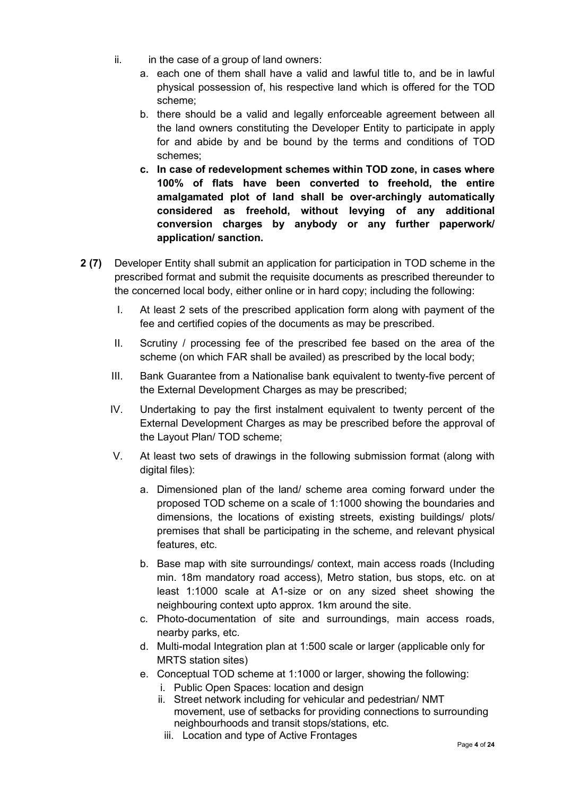- ii. in the case of a group of land owners:
	- a. each one of them shall have a valid and lawful title to, and be in lawful physical possession of, his respective land which is offered for the TOD scheme;
	- b. there should be a valid and legally enforceable agreement between all the land owners constituting the Developer Entity to participate in apply for and abide by and be bound by the terms and conditions of TOD schemes;
	- **c. In case of redevelopment schemes within TOD zone, in cases where 100% of flats have been converted to freehold, the entire amalgamated plot of land shall be over-archingly automatically considered as freehold, without levying of any additional conversion charges by anybody or any further paperwork/ application/ sanction.**
- **2 (7)** Developer Entity shall submit an application for participation in TOD scheme in the prescribed format and submit the requisite documents as prescribed thereunder to the concerned local body, either online or in hard copy; including the following:
	- I. At least 2 sets of the prescribed application form along with payment of the fee and certified copies of the documents as may be prescribed.
	- II. Scrutiny / processing fee of the prescribed fee based on the area of the scheme (on which FAR shall be availed) as prescribed by the local body;
	- III. Bank Guarantee from a Nationalise bank equivalent to twenty-five percent of the External Development Charges as may be prescribed;
	- IV. Undertaking to pay the first instalment equivalent to twenty percent of the External Development Charges as may be prescribed before the approval of the Layout Plan/ TOD scheme;
	- V. At least two sets of drawings in the following submission format (along with digital files):
		- a. Dimensioned plan of the land/ scheme area coming forward under the proposed TOD scheme on a scale of 1:1000 showing the boundaries and dimensions, the locations of existing streets, existing buildings/ plots/ premises that shall be participating in the scheme, and relevant physical features, etc.
		- b. Base map with site surroundings/ context, main access roads (Including min. 18m mandatory road access), Metro station, bus stops, etc. on at least 1:1000 scale at A1-size or on any sized sheet showing the neighbouring context upto approx. 1km around the site.
		- c. Photo-documentation of site and surroundings, main access roads, nearby parks, etc.
		- d. Multi-modal Integration plan at 1:500 scale or larger (applicable only for MRTS station sites)
		- e. Conceptual TOD scheme at 1:1000 or larger, showing the following:
			- i. Public Open Spaces: location and design
			- ii. Street network including for vehicular and pedestrian/ NMT movement, use of setbacks for providing connections to surrounding neighbourhoods and transit stops/stations, etc.
				- iii. Location and type of Active Frontages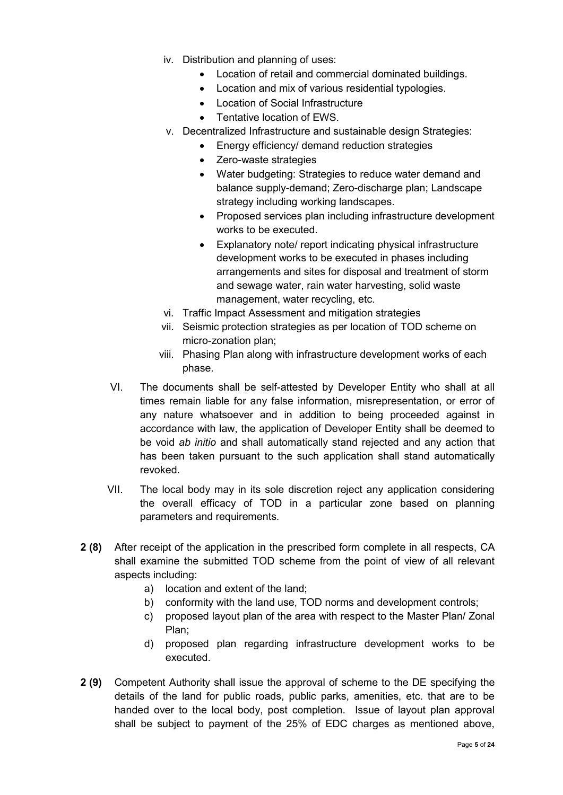- iv. Distribution and planning of uses:
	- Location of retail and commercial dominated buildings.
	- Location and mix of various residential typologies.
	- Location of Social Infrastructure
	- Tentative location of EWS.
- v. Decentralized Infrastructure and sustainable design Strategies:
	- Energy efficiency/ demand reduction strategies
		- Zero-waste strategies
	- Water budgeting: Strategies to reduce water demand and balance supply-demand; Zero-discharge plan; Landscape strategy including working landscapes.
	- Proposed services plan including infrastructure development works to be executed.
	- Explanatory note/ report indicating physical infrastructure development works to be executed in phases including arrangements and sites for disposal and treatment of storm and sewage water, rain water harvesting, solid waste management, water recycling, etc.
- vi. Traffic Impact Assessment and mitigation strategies
- vii. Seismic protection strategies as per location of TOD scheme on micro-zonation plan;
- viii. Phasing Plan along with infrastructure development works of each phase.
- VI. The documents shall be self-attested by Developer Entity who shall at all times remain liable for any false information, misrepresentation, or error of any nature whatsoever and in addition to being proceeded against in accordance with law, the application of Developer Entity shall be deemed to be void *ab initio* and shall automatically stand rejected and any action that has been taken pursuant to the such application shall stand automatically revoked.
- VII. The local body may in its sole discretion reject any application considering the overall efficacy of TOD in a particular zone based on planning parameters and requirements.
- **2 (8)** After receipt of the application in the prescribed form complete in all respects, CA shall examine the submitted TOD scheme from the point of view of all relevant aspects including:
	- a) location and extent of the land;
	- b) conformity with the land use, TOD norms and development controls;
	- c) proposed layout plan of the area with respect to the Master Plan/ Zonal Plan;
	- d) proposed plan regarding infrastructure development works to be executed.
- **2 (9)** Competent Authority shall issue the approval of scheme to the DE specifying the details of the land for public roads, public parks, amenities, etc. that are to be handed over to the local body, post completion. Issue of layout plan approval shall be subject to payment of the 25% of EDC charges as mentioned above,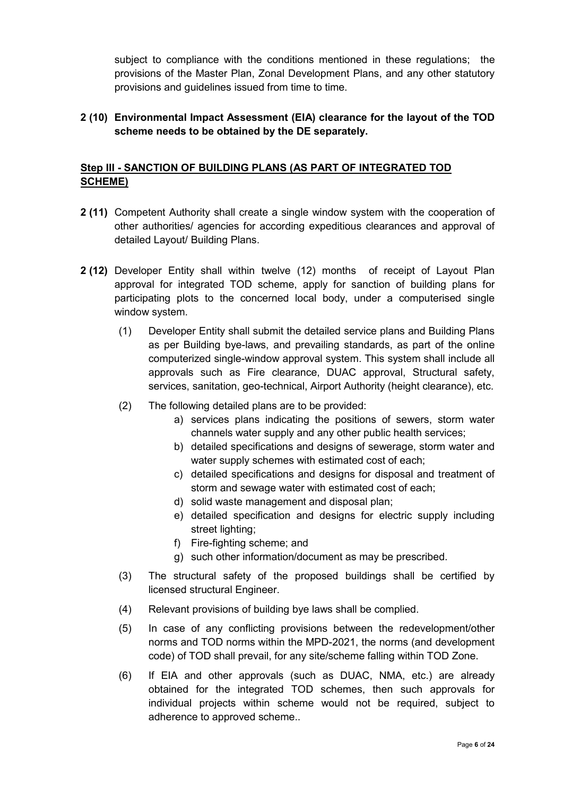subject to compliance with the conditions mentioned in these regulations; the provisions of the Master Plan, Zonal Development Plans, and any other statutory provisions and guidelines issued from time to time.

# **2 (10) Environmental Impact Assessment (EIA) clearance for the layout of the TOD scheme needs to be obtained by the DE separately.**

# **Step III - SANCTION OF BUILDING PLANS (AS PART OF INTEGRATED TOD SCHEME)**

- **2 (11)** Competent Authority shall create a single window system with the cooperation of other authorities/ agencies for according expeditious clearances and approval of detailed Layout/ Building Plans.
- **2 (12)** Developer Entity shall within twelve (12) months of receipt of Layout Plan approval for integrated TOD scheme, apply for sanction of building plans for participating plots to the concerned local body, under a computerised single window system.
	- (1) Developer Entity shall submit the detailed service plans and Building Plans as per Building bye-laws, and prevailing standards, as part of the online computerized single-window approval system. This system shall include all approvals such as Fire clearance, DUAC approval, Structural safety, services, sanitation, geo-technical, Airport Authority (height clearance), etc.
	- (2) The following detailed plans are to be provided:
		- a) services plans indicating the positions of sewers, storm water channels water supply and any other public health services;
		- b) detailed specifications and designs of sewerage, storm water and water supply schemes with estimated cost of each:
		- c) detailed specifications and designs for disposal and treatment of storm and sewage water with estimated cost of each;
		- d) solid waste management and disposal plan;
		- e) detailed specification and designs for electric supply including street lighting;
		- f) Fire-fighting scheme; and
		- g) such other information/document as may be prescribed.
	- (3) The structural safety of the proposed buildings shall be certified by licensed structural Engineer.
	- (4) Relevant provisions of building bye laws shall be complied.
	- (5) In case of any conflicting provisions between the redevelopment/other norms and TOD norms within the MPD-2021, the norms (and development code) of TOD shall prevail, for any site/scheme falling within TOD Zone.
	- (6) If EIA and other approvals (such as DUAC, NMA, etc.) are already obtained for the integrated TOD schemes, then such approvals for individual projects within scheme would not be required, subject to adherence to approved scheme..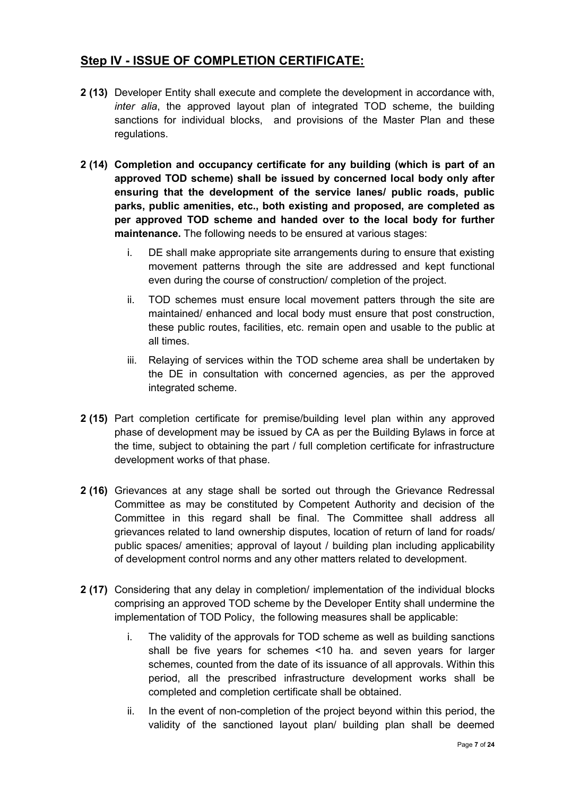# **Step IV - ISSUE OF COMPLETION CERTIFICATE:**

- **2 (13)** Developer Entity shall execute and complete the development in accordance with, *inter alia*, the approved layout plan of integrated TOD scheme, the building sanctions for individual blocks, and provisions of the Master Plan and these regulations.
- **2 (14) Completion and occupancy certificate for any building (which is part of an approved TOD scheme) shall be issued by concerned local body only after ensuring that the development of the service lanes/ public roads, public parks, public amenities, etc., both existing and proposed, are completed as per approved TOD scheme and handed over to the local body for further maintenance.** The following needs to be ensured at various stages:
	- i. DE shall make appropriate site arrangements during to ensure that existing movement patterns through the site are addressed and kept functional even during the course of construction/ completion of the project.
	- ii. TOD schemes must ensure local movement patters through the site are maintained/ enhanced and local body must ensure that post construction, these public routes, facilities, etc. remain open and usable to the public at all times.
	- iii. Relaying of services within the TOD scheme area shall be undertaken by the DE in consultation with concerned agencies, as per the approved integrated scheme.
- **2 (15)** Part completion certificate for premise/building level plan within any approved phase of development may be issued by CA as per the Building Bylaws in force at the time, subject to obtaining the part / full completion certificate for infrastructure development works of that phase.
- **2 (16)** Grievances at any stage shall be sorted out through the Grievance Redressal Committee as may be constituted by Competent Authority and decision of the Committee in this regard shall be final. The Committee shall address all grievances related to land ownership disputes, location of return of land for roads/ public spaces/ amenities; approval of layout / building plan including applicability of development control norms and any other matters related to development.
- **2 (17)** Considering that any delay in completion/ implementation of the individual blocks comprising an approved TOD scheme by the Developer Entity shall undermine the implementation of TOD Policy, the following measures shall be applicable:
	- i. The validity of the approvals for TOD scheme as well as building sanctions shall be five years for schemes <10 ha. and seven years for larger schemes, counted from the date of its issuance of all approvals. Within this period, all the prescribed infrastructure development works shall be completed and completion certificate shall be obtained.
	- ii. In the event of non-completion of the project beyond within this period, the validity of the sanctioned layout plan/ building plan shall be deemed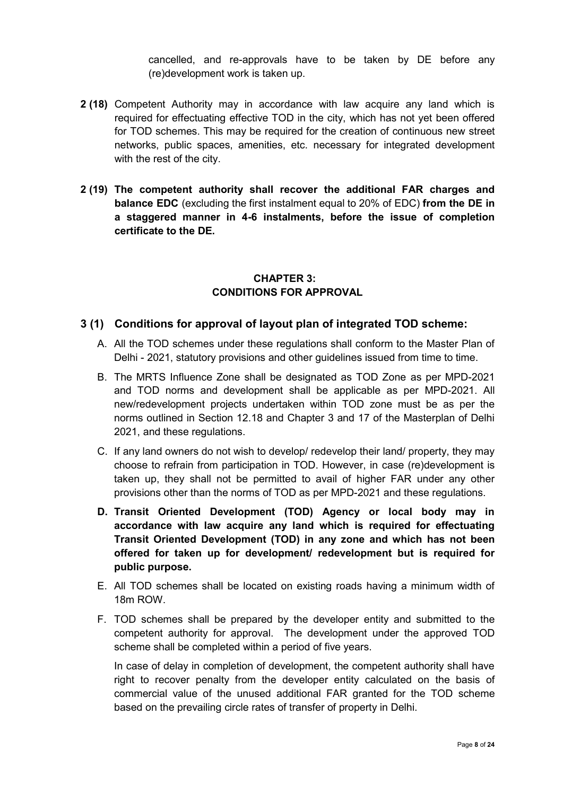cancelled, and re-approvals have to be taken by DE before any (re)development work is taken up.

- **2 (18)** Competent Authority may in accordance with law acquire any land which is required for effectuating effective TOD in the city, which has not yet been offered for TOD schemes. This may be required for the creation of continuous new street networks, public spaces, amenities, etc. necessary for integrated development with the rest of the city.
- **2 (19) The competent authority shall recover the additional FAR charges and balance EDC** (excluding the first instalment equal to 20% of EDC) **from the DE in a staggered manner in 4-6 instalments, before the issue of completion certificate to the DE.**

# **CHAPTER 3: CONDITIONS FOR APPROVAL**

# **3 (1) Conditions for approval of layout plan of integrated TOD scheme:**

- A. All the TOD schemes under these regulations shall conform to the Master Plan of Delhi - 2021, statutory provisions and other guidelines issued from time to time.
- B. The MRTS Influence Zone shall be designated as TOD Zone as per MPD-2021 and TOD norms and development shall be applicable as per MPD-2021. All new/redevelopment projects undertaken within TOD zone must be as per the norms outlined in Section 12.18 and Chapter 3 and 17 of the Masterplan of Delhi 2021, and these regulations.
- C. If any land owners do not wish to develop/ redevelop their land/ property, they may choose to refrain from participation in TOD. However, in case (re)development is taken up, they shall not be permitted to avail of higher FAR under any other provisions other than the norms of TOD as per MPD-2021 and these regulations.
- **D. Transit Oriented Development (TOD) Agency or local body may in accordance with law acquire any land which is required for effectuating Transit Oriented Development (TOD) in any zone and which has not been offered for taken up for development/ redevelopment but is required for public purpose.**
- E. All TOD schemes shall be located on existing roads having a minimum width of 18m ROW.
- F. TOD schemes shall be prepared by the developer entity and submitted to the competent authority for approval. The development under the approved TOD scheme shall be completed within a period of five years.

In case of delay in completion of development, the competent authority shall have right to recover penalty from the developer entity calculated on the basis of commercial value of the unused additional FAR granted for the TOD scheme based on the prevailing circle rates of transfer of property in Delhi.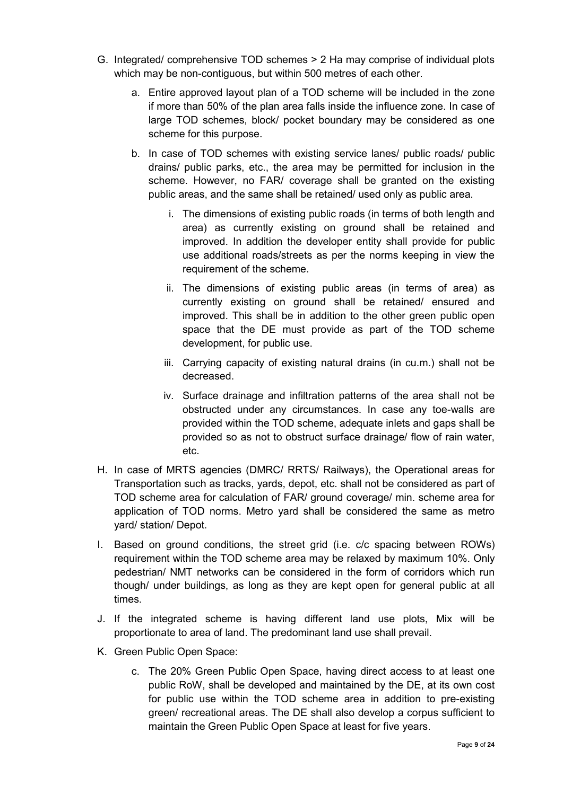- G. Integrated/ comprehensive TOD schemes > 2 Ha may comprise of individual plots which may be non-contiguous, but within 500 metres of each other.
	- a. Entire approved layout plan of a TOD scheme will be included in the zone if more than 50% of the plan area falls inside the influence zone. In case of large TOD schemes, block/ pocket boundary may be considered as one scheme for this purpose.
	- b. In case of TOD schemes with existing service lanes/ public roads/ public drains/ public parks, etc., the area may be permitted for inclusion in the scheme. However, no FAR/ coverage shall be granted on the existing public areas, and the same shall be retained/ used only as public area.
		- i. The dimensions of existing public roads (in terms of both length and area) as currently existing on ground shall be retained and improved. In addition the developer entity shall provide for public use additional roads/streets as per the norms keeping in view the requirement of the scheme.
		- ii. The dimensions of existing public areas (in terms of area) as currently existing on ground shall be retained/ ensured and improved. This shall be in addition to the other green public open space that the DE must provide as part of the TOD scheme development, for public use.
		- iii. Carrying capacity of existing natural drains (in cu.m.) shall not be decreased.
		- iv. Surface drainage and infiltration patterns of the area shall not be obstructed under any circumstances. In case any toe-walls are provided within the TOD scheme, adequate inlets and gaps shall be provided so as not to obstruct surface drainage/ flow of rain water, etc.
- H. In case of MRTS agencies (DMRC/ RRTS/ Railways), the Operational areas for Transportation such as tracks, yards, depot, etc. shall not be considered as part of TOD scheme area for calculation of FAR/ ground coverage/ min. scheme area for application of TOD norms. Metro yard shall be considered the same as metro yard/ station/ Depot.
- I. Based on ground conditions, the street grid (i.e. c/c spacing between ROWs) requirement within the TOD scheme area may be relaxed by maximum 10%. Only pedestrian/ NMT networks can be considered in the form of corridors which run though/ under buildings, as long as they are kept open for general public at all times.
- J. If the integrated scheme is having different land use plots, Mix will be proportionate to area of land. The predominant land use shall prevail.
- K. Green Public Open Space:
	- c. The 20% Green Public Open Space, having direct access to at least one public RoW, shall be developed and maintained by the DE, at its own cost for public use within the TOD scheme area in addition to pre-existing green/ recreational areas. The DE shall also develop a corpus sufficient to maintain the Green Public Open Space at least for five years.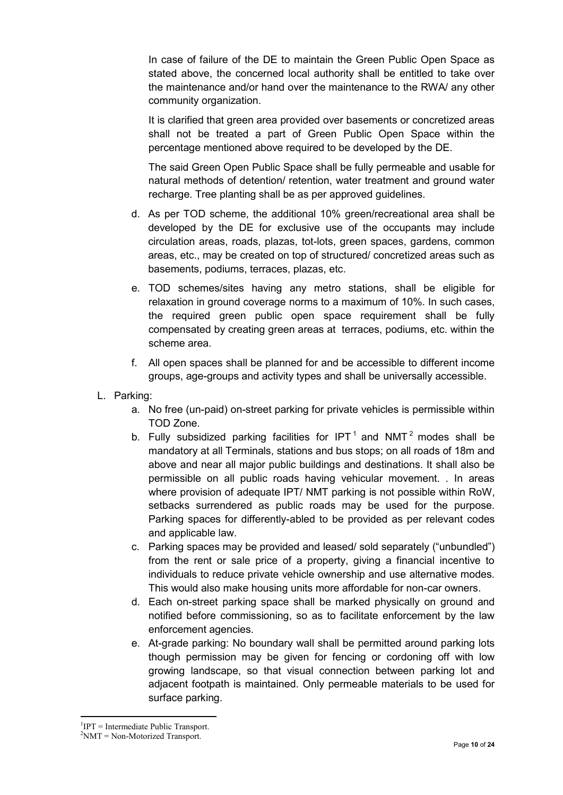In case of failure of the DE to maintain the Green Public Open Space as stated above, the concerned local authority shall be entitled to take over the maintenance and/or hand over the maintenance to the RWA/ any other community organization.

It is clarified that green area provided over basements or concretized areas shall not be treated a part of Green Public Open Space within the percentage mentioned above required to be developed by the DE.

The said Green Open Public Space shall be fully permeable and usable for natural methods of detention/ retention, water treatment and ground water recharge. Tree planting shall be as per approved guidelines.

- d. As per TOD scheme, the additional 10% green/recreational area shall be developed by the DE for exclusive use of the occupants may include circulation areas, roads, plazas, tot-lots, green spaces, gardens, common areas, etc., may be created on top of structured/ concretized areas such as basements, podiums, terraces, plazas, etc.
- e. TOD schemes/sites having any metro stations, shall be eligible for relaxation in ground coverage norms to a maximum of 10%. In such cases, the required green public open space requirement shall be fully compensated by creating green areas at terraces, podiums, etc. within the scheme area.
- f. All open spaces shall be planned for and be accessible to different income groups, age-groups and activity types and shall be universally accessible.
- L. Parking:
	- a. No free (un-paid) on-street parking for private vehicles is permissible within TOD Zone.
	- b. Fully subsidized parking facilities for IPT<sup>1</sup> and NMT<sup>2</sup> modes shall be mandatory at all Terminals, stations and bus stops; on all roads of 18m and above and near all major public buildings and destinations. It shall also be permissible on all public roads having vehicular movement. . In areas where provision of adequate IPT/ NMT parking is not possible within RoW, setbacks surrendered as public roads may be used for the purpose. Parking spaces for differently-abled to be provided as per relevant codes and applicable law.
	- c. Parking spaces may be provided and leased/ sold separately ("unbundled") from the rent or sale price of a property, giving a financial incentive to individuals to reduce private vehicle ownership and use alternative modes. This would also make housing units more affordable for non-car owners.
	- d. Each on-street parking space shall be marked physically on ground and notified before commissioning, so as to facilitate enforcement by the law enforcement agencies.
	- e. At-grade parking: No boundary wall shall be permitted around parking lots though permission may be given for fencing or cordoning off with low growing landscape, so that visual connection between parking lot and adjacent footpath is maintained. Only permeable materials to be used for surface parking.

<sup>1</sup>  ${}^{1}$ IPT = Intermediate Public Transport.

 $2NMT = Non-Motorized Transport.$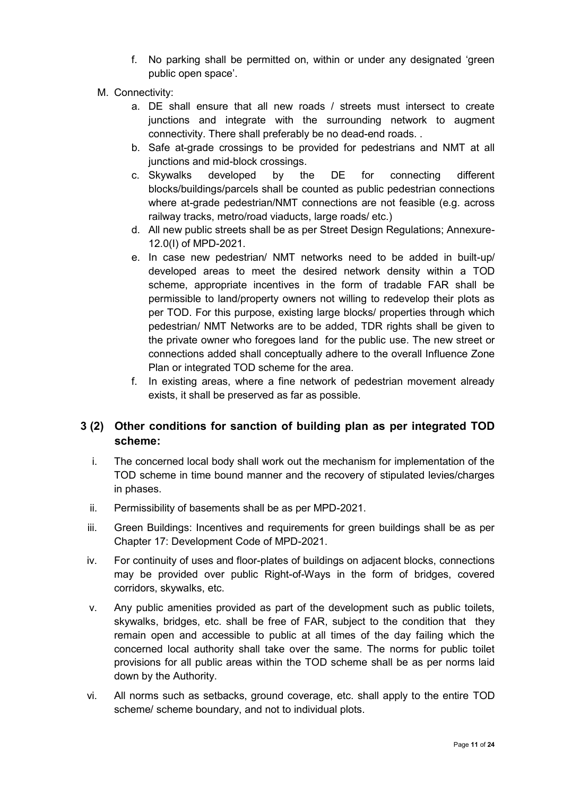- f. No parking shall be permitted on, within or under any designated 'green public open space'.
- M. Connectivity:
	- a. DE shall ensure that all new roads / streets must intersect to create junctions and integrate with the surrounding network to augment connectivity. There shall preferably be no dead-end roads. .
	- b. Safe at-grade crossings to be provided for pedestrians and NMT at all junctions and mid-block crossings.
	- c. Skywalks developed by the DE for connecting different blocks/buildings/parcels shall be counted as public pedestrian connections where at-grade pedestrian/NMT connections are not feasible (e.g. across railway tracks, metro/road viaducts, large roads/ etc.)
	- d. All new public streets shall be as per Street Design Regulations; Annexure-12.0(I) of MPD-2021.
	- e. In case new pedestrian/ NMT networks need to be added in built-up/ developed areas to meet the desired network density within a TOD scheme, appropriate incentives in the form of tradable FAR shall be permissible to land/property owners not willing to redevelop their plots as per TOD. For this purpose, existing large blocks/ properties through which pedestrian/ NMT Networks are to be added, TDR rights shall be given to the private owner who foregoes land for the public use. The new street or connections added shall conceptually adhere to the overall Influence Zone Plan or integrated TOD scheme for the area.
	- f. In existing areas, where a fine network of pedestrian movement already exists, it shall be preserved as far as possible.

# **3 (2) Other conditions for sanction of building plan as per integrated TOD scheme:**

- i. The concerned local body shall work out the mechanism for implementation of the TOD scheme in time bound manner and the recovery of stipulated levies/charges in phases.
- ii. Permissibility of basements shall be as per MPD-2021.
- iii. Green Buildings: Incentives and requirements for green buildings shall be as per Chapter 17: Development Code of MPD-2021.
- iv. For continuity of uses and floor-plates of buildings on adjacent blocks, connections may be provided over public Right-of-Ways in the form of bridges, covered corridors, skywalks, etc.
- v. Any public amenities provided as part of the development such as public toilets, skywalks, bridges, etc. shall be free of FAR, subject to the condition that they remain open and accessible to public at all times of the day failing which the concerned local authority shall take over the same. The norms for public toilet provisions for all public areas within the TOD scheme shall be as per norms laid down by the Authority.
- vi. All norms such as setbacks, ground coverage, etc. shall apply to the entire TOD scheme/ scheme boundary, and not to individual plots.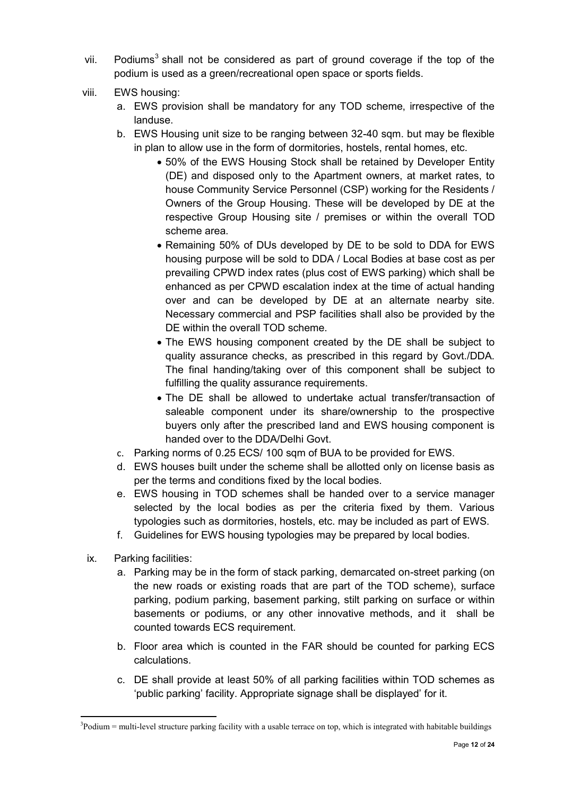- vii. Podiums<sup>3</sup> shall not be considered as part of ground coverage if the top of the podium is used as a green/recreational open space or sports fields.
- viii. EWS housing:
	- a. EWS provision shall be mandatory for any TOD scheme, irrespective of the landuse.
	- b. EWS Housing unit size to be ranging between 32-40 sqm. but may be flexible in plan to allow use in the form of dormitories, hostels, rental homes, etc.
		- 50% of the EWS Housing Stock shall be retained by Developer Entity (DE) and disposed only to the Apartment owners, at market rates, to house Community Service Personnel (CSP) working for the Residents / Owners of the Group Housing. These will be developed by DE at the respective Group Housing site / premises or within the overall TOD scheme area.
		- Remaining 50% of DUs developed by DE to be sold to DDA for EWS housing purpose will be sold to DDA / Local Bodies at base cost as per prevailing CPWD index rates (plus cost of EWS parking) which shall be enhanced as per CPWD escalation index at the time of actual handing over and can be developed by DE at an alternate nearby site. Necessary commercial and PSP facilities shall also be provided by the DE within the overall TOD scheme.
		- The EWS housing component created by the DE shall be subject to quality assurance checks, as prescribed in this regard by Govt./DDA. The final handing/taking over of this component shall be subject to fulfilling the quality assurance requirements.
		- The DE shall be allowed to undertake actual transfer/transaction of saleable component under its share/ownership to the prospective buyers only after the prescribed land and EWS housing component is handed over to the DDA/Delhi Govt.
	- c. Parking norms of 0.25 ECS/ 100 sqm of BUA to be provided for EWS.
	- d. EWS houses built under the scheme shall be allotted only on license basis as per the terms and conditions fixed by the local bodies.
	- e. EWS housing in TOD schemes shall be handed over to a service manager selected by the local bodies as per the criteria fixed by them. Various typologies such as dormitories, hostels, etc. may be included as part of EWS.
	- f. Guidelines for EWS housing typologies may be prepared by local bodies.
- ix. Parking facilities:
	- a. Parking may be in the form of stack parking, demarcated on-street parking (on the new roads or existing roads that are part of the TOD scheme), surface parking, podium parking, basement parking, stilt parking on surface or within basements or podiums, or any other innovative methods, and it shall be counted towards ECS requirement.
	- b. Floor area which is counted in the FAR should be counted for parking ECS calculations.
	- c. DE shall provide at least 50% of all parking facilities within TOD schemes as 'public parking' facility. Appropriate signage shall be displayed' for it.

<sup>1</sup>  $3$ Podium = multi-level structure parking facility with a usable terrace on top, which is integrated with habitable buildings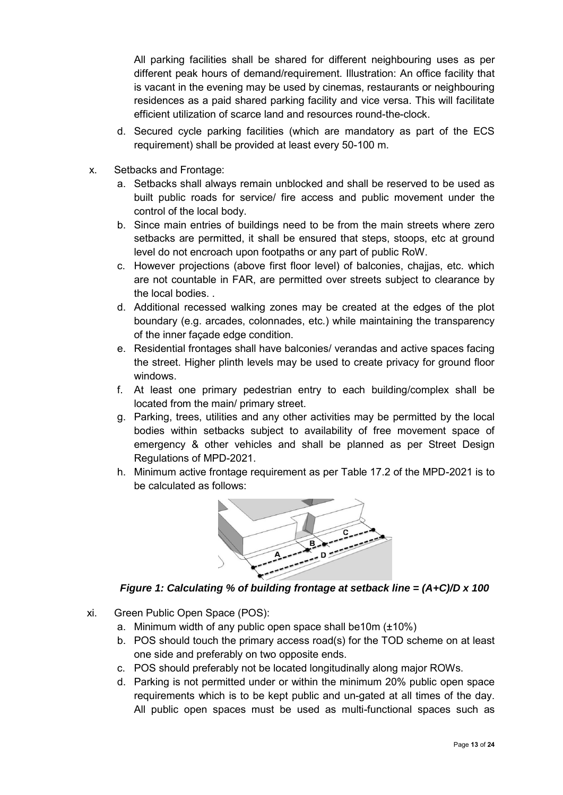All parking facilities shall be shared for different neighbouring uses as per different peak hours of demand/requirement. Illustration: An office facility that is vacant in the evening may be used by cinemas, restaurants or neighbouring residences as a paid shared parking facility and vice versa. This will facilitate efficient utilization of scarce land and resources round-the-clock.

- d. Secured cycle parking facilities (which are mandatory as part of the ECS requirement) shall be provided at least every 50-100 m.
- x. Setbacks and Frontage:
	- a. Setbacks shall always remain unblocked and shall be reserved to be used as built public roads for service/ fire access and public movement under the control of the local body.
	- b. Since main entries of buildings need to be from the main streets where zero setbacks are permitted, it shall be ensured that steps, stoops, etc at ground level do not encroach upon footpaths or any part of public RoW.
	- c. However projections (above first floor level) of balconies, chajjas, etc. which are not countable in FAR, are permitted over streets subject to clearance by the local bodies. .
	- d. Additional recessed walking zones may be created at the edges of the plot boundary (e.g. arcades, colonnades, etc.) while maintaining the transparency of the inner façade edge condition.
	- e. Residential frontages shall have balconies/ verandas and active spaces facing the street. Higher plinth levels may be used to create privacy for ground floor windows.
	- f. At least one primary pedestrian entry to each building/complex shall be located from the main/ primary street.
	- g. Parking, trees, utilities and any other activities may be permitted by the local bodies within setbacks subject to availability of free movement space of emergency & other vehicles and shall be planned as per Street Design Regulations of MPD-2021.
	- h. Minimum active frontage requirement as per Table 17.2 of the MPD-2021 is to be calculated as follows:



*Figure 1: Calculating % of building frontage at setback line = (A+C)/D x 100*

- xi. Green Public Open Space (POS):
	- a. Minimum width of any public open space shall be10m (±10%)
	- b. POS should touch the primary access road(s) for the TOD scheme on at least one side and preferably on two opposite ends.
	- c. POS should preferably not be located longitudinally along major ROWs.
	- d. Parking is not permitted under or within the minimum 20% public open space requirements which is to be kept public and un-gated at all times of the day. All public open spaces must be used as multi-functional spaces such as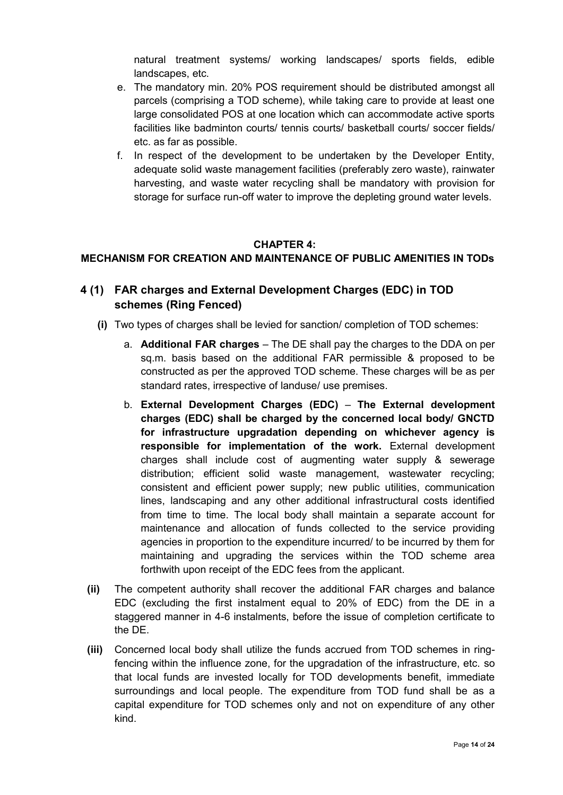natural treatment systems/ working landscapes/ sports fields, edible landscapes, etc.

- e. The mandatory min. 20% POS requirement should be distributed amongst all parcels (comprising a TOD scheme), while taking care to provide at least one large consolidated POS at one location which can accommodate active sports facilities like badminton courts/ tennis courts/ basketball courts/ soccer fields/ etc. as far as possible.
- f. In respect of the development to be undertaken by the Developer Entity, adequate solid waste management facilities (preferably zero waste), rainwater harvesting, and waste water recycling shall be mandatory with provision for storage for surface run-off water to improve the depleting ground water levels.

### **CHAPTER 4:**

# **MECHANISM FOR CREATION AND MAINTENANCE OF PUBLIC AMENITIES IN TODs**

# **4 (1) FAR charges and External Development Charges (EDC) in TOD schemes (Ring Fenced)**

- **(i)** Two types of charges shall be levied for sanction/ completion of TOD schemes:
	- a. **Additional FAR charges** The DE shall pay the charges to the DDA on per sq.m. basis based on the additional FAR permissible & proposed to be constructed as per the approved TOD scheme. These charges will be as per standard rates, irrespective of landuse/ use premises.
	- b. **External Development Charges (EDC) The External development charges (EDC) shall be charged by the concerned local body/ GNCTD for infrastructure upgradation depending on whichever agency is responsible for implementation of the work.** External development charges shall include cost of augmenting water supply & sewerage distribution; efficient solid waste management, wastewater recycling; consistent and efficient power supply; new public utilities, communication lines, landscaping and any other additional infrastructural costs identified from time to time. The local body shall maintain a separate account for maintenance and allocation of funds collected to the service providing agencies in proportion to the expenditure incurred/ to be incurred by them for maintaining and upgrading the services within the TOD scheme area forthwith upon receipt of the EDC fees from the applicant.
- **(ii)** The competent authority shall recover the additional FAR charges and balance EDC (excluding the first instalment equal to 20% of EDC) from the DE in a staggered manner in 4-6 instalments, before the issue of completion certificate to the DE.
- **(iii)** Concerned local body shall utilize the funds accrued from TOD schemes in ringfencing within the influence zone, for the upgradation of the infrastructure, etc. so that local funds are invested locally for TOD developments benefit, immediate surroundings and local people. The expenditure from TOD fund shall be as a capital expenditure for TOD schemes only and not on expenditure of any other kind.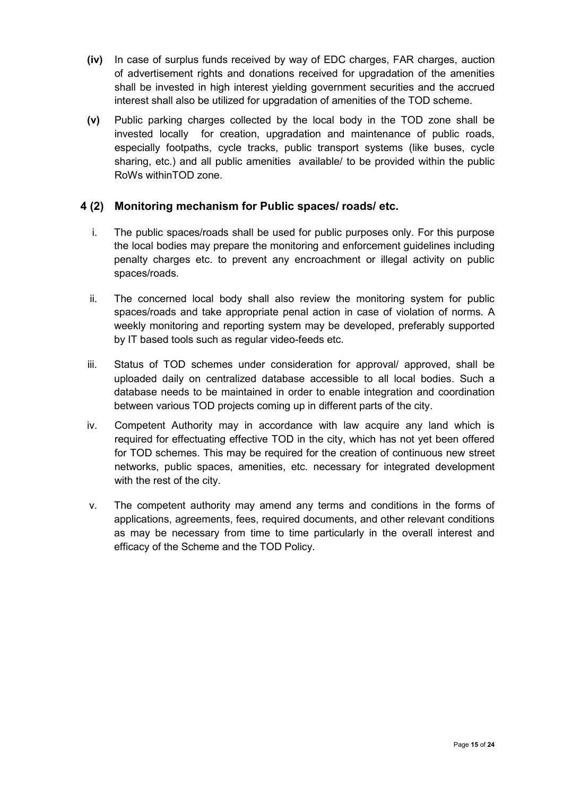- **(iv)** In case of surplus funds received by way of EDC charges, FAR charges, auction of advertisement rights and donations received for upgradation of the amenities shall be invested in high interest yielding government securities and the accrued interest shall also be utilized for upgradation of amenities of the TOD scheme.
- **(v)** Public parking charges collected by the local body in the TOD zone shall be invested locally for creation, upgradation and maintenance of public roads, especially footpaths, cycle tracks, public transport systems (like buses, cycle sharing, etc.) and all public amenities available/ to be provided within the public RoWs withinTOD zone.

# **4 (2) Monitoring mechanism for Public spaces/ roads/ etc.**

- i. The public spaces/roads shall be used for public purposes only. For this purpose the local bodies may prepare the monitoring and enforcement guidelines including penalty charges etc. to prevent any encroachment or illegal activity on public spaces/roads.
- ii. The concerned local body shall also review the monitoring system for public spaces/roads and take appropriate penal action in case of violation of norms. A weekly monitoring and reporting system may be developed, preferably supported by IT based tools such as regular video-feeds etc.
- iii. Status of TOD schemes under consideration for approval/ approved, shall be uploaded daily on centralized database accessible to all local bodies. Such a database needs to be maintained in order to enable integration and coordination between various TOD projects coming up in different parts of the city.
- iv. Competent Authority may in accordance with law acquire any land which is required for effectuating effective TOD in the city, which has not yet been offered for TOD schemes. This may be required for the creation of continuous new street networks, public spaces, amenities, etc. necessary for integrated development with the rest of the city.
- v. The competent authority may amend any terms and conditions in the forms of applications, agreements, fees, required documents, and other relevant conditions as may be necessary from time to time particularly in the overall interest and efficacy of the Scheme and the TOD Policy.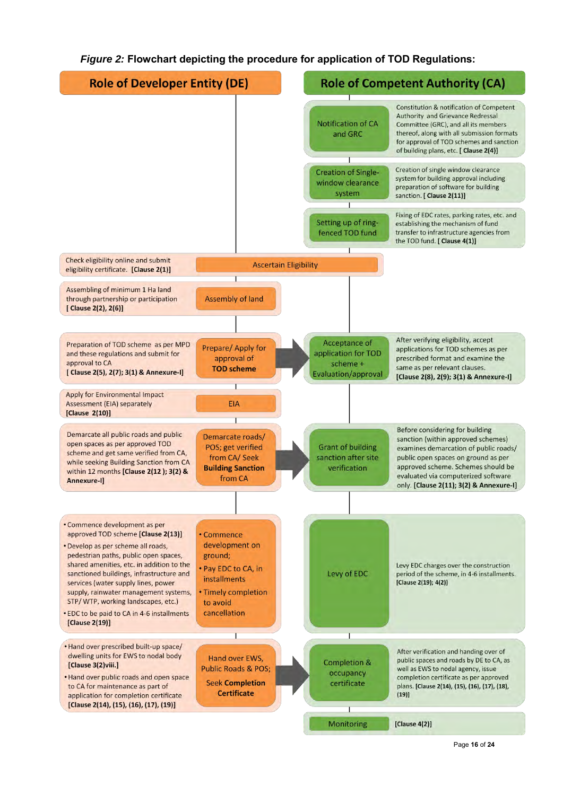### *Figure 2:* **Flowchart depicting the procedure for application of TOD Regulations:**

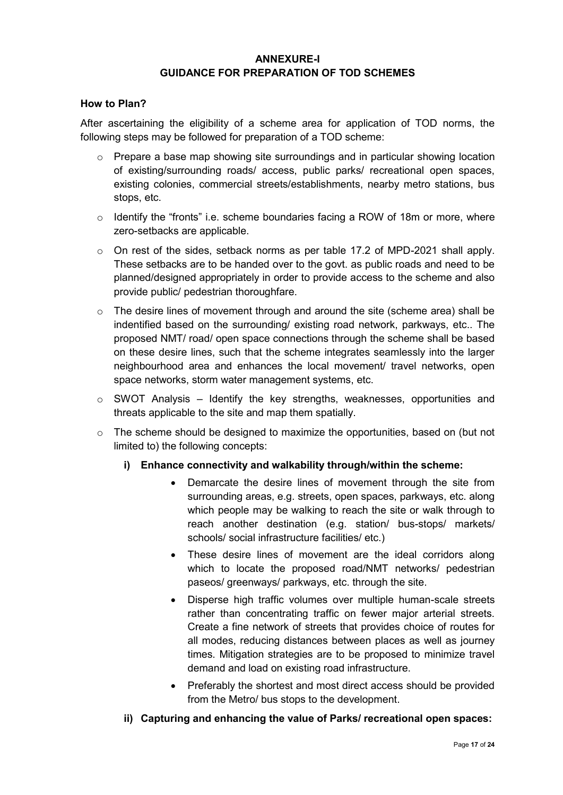# **ANNEXURE-I GUIDANCE FOR PREPARATION OF TOD SCHEMES**

#### **How to Plan?**

After ascertaining the eligibility of a scheme area for application of TOD norms, the following steps may be followed for preparation of a TOD scheme:

- $\circ$  Prepare a base map showing site surroundings and in particular showing location of existing/surrounding roads/ access, public parks/ recreational open spaces, existing colonies, commercial streets/establishments, nearby metro stations, bus stops, etc.
- o Identify the "fronts" i.e. scheme boundaries facing a ROW of 18m or more, where zero-setbacks are applicable.
- $\circ$  On rest of the sides, setback norms as per table 17.2 of MPD-2021 shall apply. These setbacks are to be handed over to the govt. as public roads and need to be planned/designed appropriately in order to provide access to the scheme and also provide public/ pedestrian thoroughfare.
- o The desire lines of movement through and around the site (scheme area) shall be indentified based on the surrounding/ existing road network, parkways, etc.. The proposed NMT/ road/ open space connections through the scheme shall be based on these desire lines, such that the scheme integrates seamlessly into the larger neighbourhood area and enhances the local movement/ travel networks, open space networks, storm water management systems, etc.
- $\circ$  SWOT Analysis Identify the key strengths, weaknesses, opportunities and threats applicable to the site and map them spatially.
- o The scheme should be designed to maximize the opportunities, based on (but not limited to) the following concepts:
	- **i) Enhance connectivity and walkability through/within the scheme:** 
		- Demarcate the desire lines of movement through the site from surrounding areas, e.g. streets, open spaces, parkways, etc. along which people may be walking to reach the site or walk through to reach another destination (e.g. station/ bus-stops/ markets/ schools/ social infrastructure facilities/ etc.)
		- These desire lines of movement are the ideal corridors along which to locate the proposed road/NMT networks/ pedestrian paseos/ greenways/ parkways, etc. through the site.
		- Disperse high traffic volumes over multiple human-scale streets rather than concentrating traffic on fewer major arterial streets. Create a fine network of streets that provides choice of routes for all modes, reducing distances between places as well as journey times. Mitigation strategies are to be proposed to minimize travel demand and load on existing road infrastructure.
		- Preferably the shortest and most direct access should be provided from the Metro/ bus stops to the development.
	- **ii) Capturing and enhancing the value of Parks/ recreational open spaces:**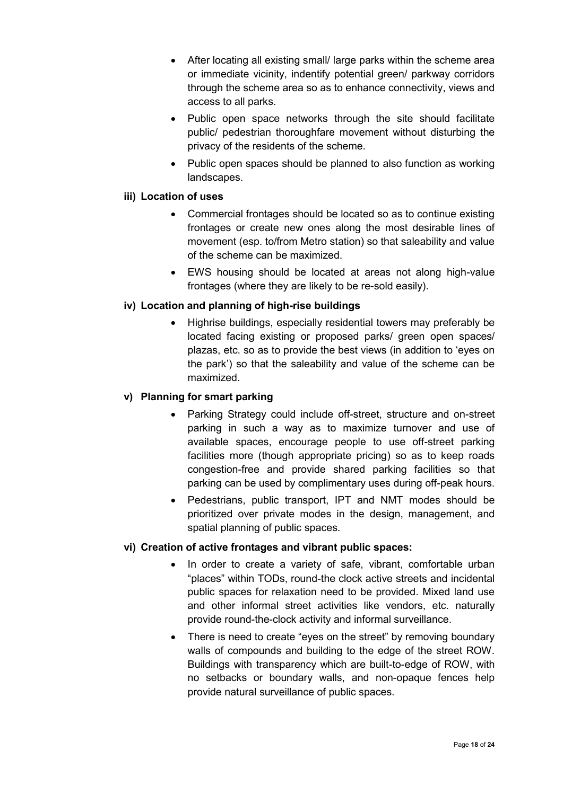- After locating all existing small/ large parks within the scheme area or immediate vicinity, indentify potential green/ parkway corridors through the scheme area so as to enhance connectivity, views and access to all parks.
- Public open space networks through the site should facilitate public/ pedestrian thoroughfare movement without disturbing the privacy of the residents of the scheme.
- Public open spaces should be planned to also function as working landscapes.

# **iii) Location of uses**

- Commercial frontages should be located so as to continue existing frontages or create new ones along the most desirable lines of movement (esp. to/from Metro station) so that saleability and value of the scheme can be maximized.
- EWS housing should be located at areas not along high-value frontages (where they are likely to be re-sold easily).

# **iv) Location and planning of high-rise buildings**

 Highrise buildings, especially residential towers may preferably be located facing existing or proposed parks/ green open spaces/ plazas, etc. so as to provide the best views (in addition to 'eyes on the park') so that the saleability and value of the scheme can be maximized.

### **v) Planning for smart parking**

- Parking Strategy could include off-street, structure and on-street parking in such a way as to maximize turnover and use of available spaces, encourage people to use off-street parking facilities more (though appropriate pricing) so as to keep roads congestion-free and provide shared parking facilities so that parking can be used by complimentary uses during off-peak hours.
- Pedestrians, public transport, IPT and NMT modes should be prioritized over private modes in the design, management, and spatial planning of public spaces.

### **vi) Creation of active frontages and vibrant public spaces:**

- In order to create a variety of safe, vibrant, comfortable urban "places" within TODs, round-the clock active streets and incidental public spaces for relaxation need to be provided. Mixed land use and other informal street activities like vendors, etc. naturally provide round-the-clock activity and informal surveillance.
- There is need to create "eyes on the street" by removing boundary walls of compounds and building to the edge of the street ROW. Buildings with transparency which are built-to-edge of ROW, with no setbacks or boundary walls, and non-opaque fences help provide natural surveillance of public spaces.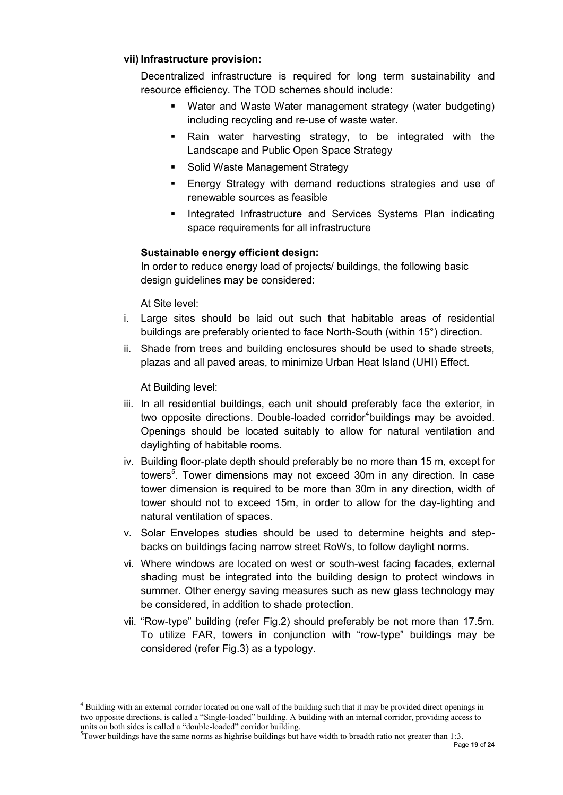### **vii) Infrastructure provision:**

Decentralized infrastructure is required for long term sustainability and resource efficiency. The TOD schemes should include:

- Water and Waste Water management strategy (water budgeting) including recycling and re-use of waste water.
- Rain water harvesting strategy, to be integrated with the Landscape and Public Open Space Strategy
- Solid Waste Management Strategy
- Energy Strategy with demand reductions strategies and use of renewable sources as feasible
- **Integrated Infrastructure and Services Systems Plan indicating** space requirements for all infrastructure

# **Sustainable energy efficient design:**

In order to reduce energy load of projects/ buildings, the following basic design guidelines may be considered:

At Site level:

- i. Large sites should be laid out such that habitable areas of residential buildings are preferably oriented to face North-South (within 15°) direction.
- ii. Shade from trees and building enclosures should be used to shade streets, plazas and all paved areas, to minimize Urban Heat Island (UHI) Effect.

At Building level:

1

- iii. In all residential buildings, each unit should preferably face the exterior, in two opposite directions. Double-loaded corridor<sup>4</sup>buildings may be avoided. Openings should be located suitably to allow for natural ventilation and daylighting of habitable rooms.
- iv. Building floor-plate depth should preferably be no more than 15 m, except for towers<sup>5</sup>. Tower dimensions may not exceed 30m in any direction. In case tower dimension is required to be more than 30m in any direction, width of tower should not to exceed 15m, in order to allow for the day-lighting and natural ventilation of spaces.
- v. Solar Envelopes studies should be used to determine heights and stepbacks on buildings facing narrow street RoWs, to follow daylight norms.
- vi. Where windows are located on west or south-west facing facades, external shading must be integrated into the building design to protect windows in summer. Other energy saving measures such as new glass technology may be considered, in addition to shade protection.
- vii. "Row-type" building (refer Fig.2) should preferably be not more than 17.5m. To utilize FAR, towers in conjunction with "row-type" buildings may be considered (refer Fig.3) as a typology.

<sup>&</sup>lt;sup>4</sup> Building with an external corridor located on one wall of the building such that it may be provided direct openings in two opposite directions, is called a "Single-loaded" building. A building with an internal corridor, providing access to units on both sides is called a "double-loaded" corridor building.

 $5$ Tower buildings have the same norms as highrise buildings but have width to breadth ratio not greater than 1:3.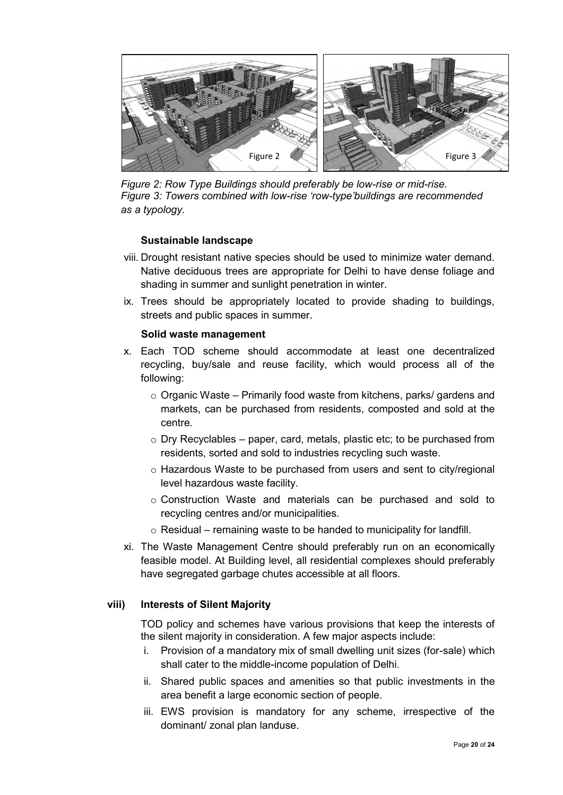

*Figure 2: Row Type Buildings should preferably be low-rise or mid-rise. Figure 3: Towers combined with low-rise 'row-type'buildings are recommended as a typology.* 

### **Sustainable landscape**

- viii. Drought resistant native species should be used to minimize water demand. Native deciduous trees are appropriate for Delhi to have dense foliage and shading in summer and sunlight penetration in winter.
- ix. Trees should be appropriately located to provide shading to buildings, streets and public spaces in summer.

#### **Solid waste management**

- x. Each TOD scheme should accommodate at least one decentralized recycling, buy/sale and reuse facility, which would process all of the following:
	- $\circ$  Organic Waste Primarily food waste from kitchens, parks/ gardens and markets, can be purchased from residents, composted and sold at the centre.
	- o Dry Recyclables paper, card, metals, plastic etc; to be purchased from residents, sorted and sold to industries recycling such waste.
	- o Hazardous Waste to be purchased from users and sent to city/regional level hazardous waste facility.
	- o Construction Waste and materials can be purchased and sold to recycling centres and/or municipalities.
	- $\circ$  Residual remaining waste to be handed to municipality for landfill.
- xi. The Waste Management Centre should preferably run on an economically feasible model. At Building level, all residential complexes should preferably have segregated garbage chutes accessible at all floors.

#### **viii) Interests of Silent Majority**

TOD policy and schemes have various provisions that keep the interests of the silent majority in consideration. A few major aspects include:

- i. Provision of a mandatory mix of small dwelling unit sizes (for-sale) which shall cater to the middle-income population of Delhi.
- ii. Shared public spaces and amenities so that public investments in the area benefit a large economic section of people.
- iii. EWS provision is mandatory for any scheme, irrespective of the dominant/ zonal plan landuse.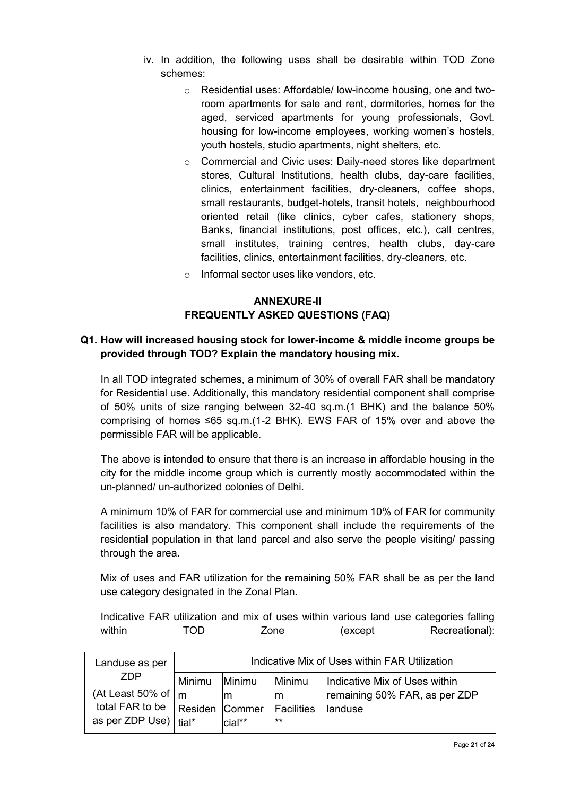- iv. In addition, the following uses shall be desirable within TOD Zone schemes:
	- o Residential uses: Affordable/ low-income housing, one and tworoom apartments for sale and rent, dormitories, homes for the aged, serviced apartments for young professionals, Govt. housing for low-income employees, working women's hostels, youth hostels, studio apartments, night shelters, etc.
	- o Commercial and Civic uses: Daily-need stores like department stores, Cultural Institutions, health clubs, day-care facilities, clinics, entertainment facilities, dry-cleaners, coffee shops, small restaurants, budget-hotels, transit hotels, neighbourhood oriented retail (like clinics, cyber cafes, stationery shops, Banks, financial institutions, post offices, etc.), call centres, small institutes, training centres, health clubs, day-care facilities, clinics, entertainment facilities, dry-cleaners, etc.
	- o Informal sector uses like vendors, etc.

# **ANNEXURE-II FREQUENTLY ASKED QUESTIONS (FAQ)**

# **Q1. How will increased housing stock for lower-income & middle income groups be provided through TOD? Explain the mandatory housing mix.**

In all TOD integrated schemes, a minimum of 30% of overall FAR shall be mandatory for Residential use. Additionally, this mandatory residential component shall comprise of 50% units of size ranging between 32-40 sq.m.(1 BHK) and the balance 50% comprising of homes ≤65 sq.m.(1-2 BHK). EWS FAR of 15% over and above the permissible FAR will be applicable.

The above is intended to ensure that there is an increase in affordable housing in the city for the middle income group which is currently mostly accommodated within the un-planned/ un-authorized colonies of Delhi.

A minimum 10% of FAR for commercial use and minimum 10% of FAR for community facilities is also mandatory. This component shall include the requirements of the residential population in that land parcel and also serve the people visiting/ passing through the area.

Mix of uses and FAR utilization for the remaining 50% FAR shall be as per the land use category designated in the Zonal Plan.

Indicative FAR utilization and mix of uses within various land use categories falling within TOD Zone (except Recreational):

| Landuse as per<br>ZDP<br>(At Least 50% of $\mid$ m<br>total FAR to be<br>as per ZDP Use) | Indicative Mix of Uses within FAR Utilization |        |                   |                               |  |
|------------------------------------------------------------------------------------------|-----------------------------------------------|--------|-------------------|-------------------------------|--|
|                                                                                          | Minimu                                        | Minimu | Minimu            | Indicative Mix of Uses within |  |
|                                                                                          |                                               | ım     | m                 | remaining 50% FAR, as per ZDP |  |
|                                                                                          | Residen Commer                                |        | <b>Facilities</b> | landuse                       |  |
|                                                                                          | tial*                                         | cial** | $***$             |                               |  |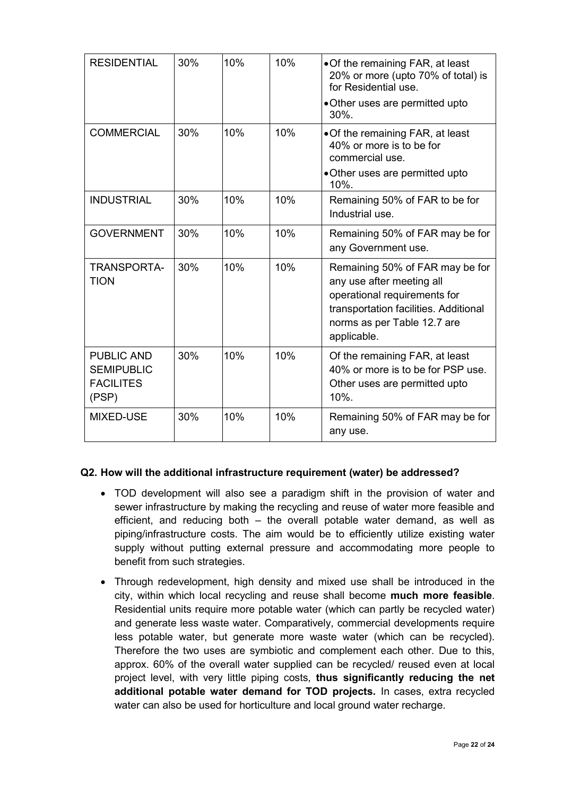| <b>RESIDENTIAL</b>                                                  | 30% | 10% | 10% | • Of the remaining FAR, at least<br>20% or more (upto 70% of total) is<br>for Residential use.<br>• Other uses are permitted upto<br>$30\%$ .                                       |
|---------------------------------------------------------------------|-----|-----|-----|-------------------------------------------------------------------------------------------------------------------------------------------------------------------------------------|
| <b>COMMERCIAL</b>                                                   | 30% | 10% | 10% | • Of the remaining FAR, at least<br>40% or more is to be for<br>commercial use.<br>• Other uses are permitted upto<br>10%.                                                          |
| <b>INDUSTRIAL</b>                                                   | 30% | 10% | 10% | Remaining 50% of FAR to be for<br>Industrial use.                                                                                                                                   |
| <b>GOVERNMENT</b>                                                   | 30% | 10% | 10% | Remaining 50% of FAR may be for<br>any Government use.                                                                                                                              |
| TRANSPORTA-<br><b>TION</b>                                          | 30% | 10% | 10% | Remaining 50% of FAR may be for<br>any use after meeting all<br>operational requirements for<br>transportation facilities. Additional<br>norms as per Table 12.7 are<br>applicable. |
| <b>PUBLIC AND</b><br><b>SEMIPUBLIC</b><br><b>FACILITES</b><br>(PSP) | 30% | 10% | 10% | Of the remaining FAR, at least<br>40% or more is to be for PSP use.<br>Other uses are permitted upto<br>$10%$ .                                                                     |
| <b>MIXED-USE</b>                                                    | 30% | 10% | 10% | Remaining 50% of FAR may be for<br>any use.                                                                                                                                         |

### **Q2. How will the additional infrastructure requirement (water) be addressed?**

- TOD development will also see a paradigm shift in the provision of water and sewer infrastructure by making the recycling and reuse of water more feasible and efficient, and reducing both – the overall potable water demand, as well as piping/infrastructure costs. The aim would be to efficiently utilize existing water supply without putting external pressure and accommodating more people to benefit from such strategies.
- Through redevelopment, high density and mixed use shall be introduced in the city, within which local recycling and reuse shall become **much more feasible**. Residential units require more potable water (which can partly be recycled water) and generate less waste water. Comparatively, commercial developments require less potable water, but generate more waste water (which can be recycled). Therefore the two uses are symbiotic and complement each other. Due to this, approx. 60% of the overall water supplied can be recycled/ reused even at local project level, with very little piping costs, **thus significantly reducing the net additional potable water demand for TOD projects.** In cases, extra recycled water can also be used for horticulture and local ground water recharge.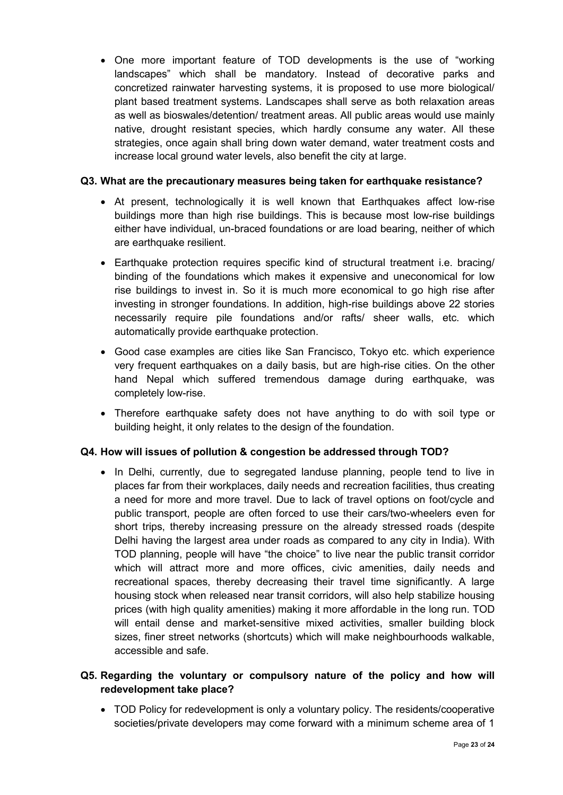One more important feature of TOD developments is the use of "working landscapes" which shall be mandatory. Instead of decorative parks and concretized rainwater harvesting systems, it is proposed to use more biological/ plant based treatment systems. Landscapes shall serve as both relaxation areas as well as bioswales/detention/ treatment areas. All public areas would use mainly native, drought resistant species, which hardly consume any water. All these strategies, once again shall bring down water demand, water treatment costs and increase local ground water levels, also benefit the city at large.

# **Q3. What are the precautionary measures being taken for earthquake resistance?**

- At present, technologically it is well known that Earthquakes affect low-rise buildings more than high rise buildings. This is because most low-rise buildings either have individual, un-braced foundations or are load bearing, neither of which are earthquake resilient.
- Earthquake protection requires specific kind of structural treatment i.e. bracing/ binding of the foundations which makes it expensive and uneconomical for low rise buildings to invest in. So it is much more economical to go high rise after investing in stronger foundations. In addition, high-rise buildings above 22 stories necessarily require pile foundations and/or rafts/ sheer walls, etc. which automatically provide earthquake protection.
- Good case examples are cities like San Francisco, Tokyo etc. which experience very frequent earthquakes on a daily basis, but are high-rise cities. On the other hand Nepal which suffered tremendous damage during earthquake, was completely low-rise.
- Therefore earthquake safety does not have anything to do with soil type or building height, it only relates to the design of the foundation.

# **Q4. How will issues of pollution & congestion be addressed through TOD?**

• In Delhi, currently, due to segregated landuse planning, people tend to live in places far from their workplaces, daily needs and recreation facilities, thus creating a need for more and more travel. Due to lack of travel options on foot/cycle and public transport, people are often forced to use their cars/two-wheelers even for short trips, thereby increasing pressure on the already stressed roads (despite Delhi having the largest area under roads as compared to any city in India). With TOD planning, people will have "the choice" to live near the public transit corridor which will attract more and more offices, civic amenities, daily needs and recreational spaces, thereby decreasing their travel time significantly. A large housing stock when released near transit corridors, will also help stabilize housing prices (with high quality amenities) making it more affordable in the long run. TOD will entail dense and market-sensitive mixed activities, smaller building block sizes, finer street networks (shortcuts) which will make neighbourhoods walkable, accessible and safe.

# **Q5. Regarding the voluntary or compulsory nature of the policy and how will redevelopment take place?**

 TOD Policy for redevelopment is only a voluntary policy. The residents/cooperative societies/private developers may come forward with a minimum scheme area of 1